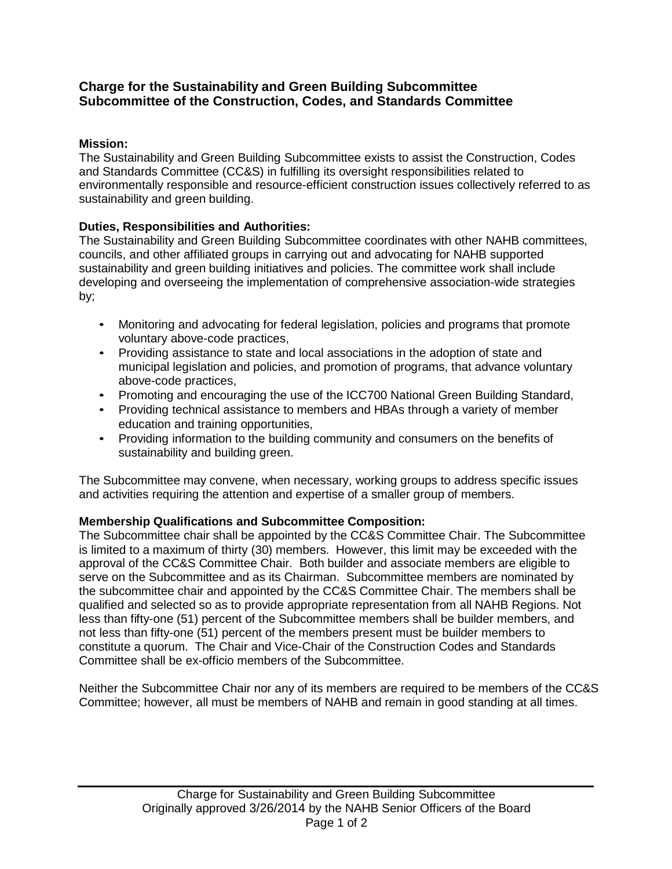## **Charge for the Sustainability and Green Building Subcommittee Subcommittee of the Construction, Codes, and Standards Committee**

## **Mission:**

The Sustainability and Green Building Subcommittee exists to assist the Construction, Codes and Standards Committee (CC&S) in fulfilling its oversight responsibilities related to environmentally responsible and resource-efficient construction issues collectively referred to as sustainability and green building.

## **Duties, Responsibilities and Authorities:**

The Sustainability and Green Building Subcommittee coordinates with other NAHB committees, councils, and other affiliated groups in carrying out and advocating for NAHB supported sustainability and green building initiatives and policies. The committee work shall include developing and overseeing the implementation of comprehensive association-wide strategies by;

- Monitoring and advocating for federal legislation, policies and programs that promote voluntary above-code practices,
- Providing assistance to state and local associations in the adoption of state and municipal legislation and policies, and promotion of programs, that advance voluntary above-code practices,
- Promoting and encouraging the use of the ICC700 National Green Building Standard,
- Providing technical assistance to members and HBAs through a variety of member education and training opportunities,
- Providing information to the building community and consumers on the benefits of sustainability and building green.

The Subcommittee may convene, when necessary, working groups to address specific issues and activities requiring the attention and expertise of a smaller group of members.

# **Membership Qualifications and Subcommittee Composition:**

The Subcommittee chair shall be appointed by the CC&S Committee Chair. The Subcommittee is limited to a maximum of thirty (30) members. However, this limit may be exceeded with the approval of the CC&S Committee Chair. Both builder and associate members are eligible to serve on the Subcommittee and as its Chairman. Subcommittee members are nominated by the subcommittee chair and appointed by the CC&S Committee Chair. The members shall be qualified and selected so as to provide appropriate representation from all NAHB Regions. Not less than fifty-one (51) percent of the Subcommittee members shall be builder members, and not less than fifty-one (51) percent of the members present must be builder members to constitute a quorum. The Chair and Vice-Chair of the Construction Codes and Standards Committee shall be ex-officio members of the Subcommittee.

Neither the Subcommittee Chair nor any of its members are required to be members of the CC&S Committee; however, all must be members of NAHB and remain in good standing at all times.